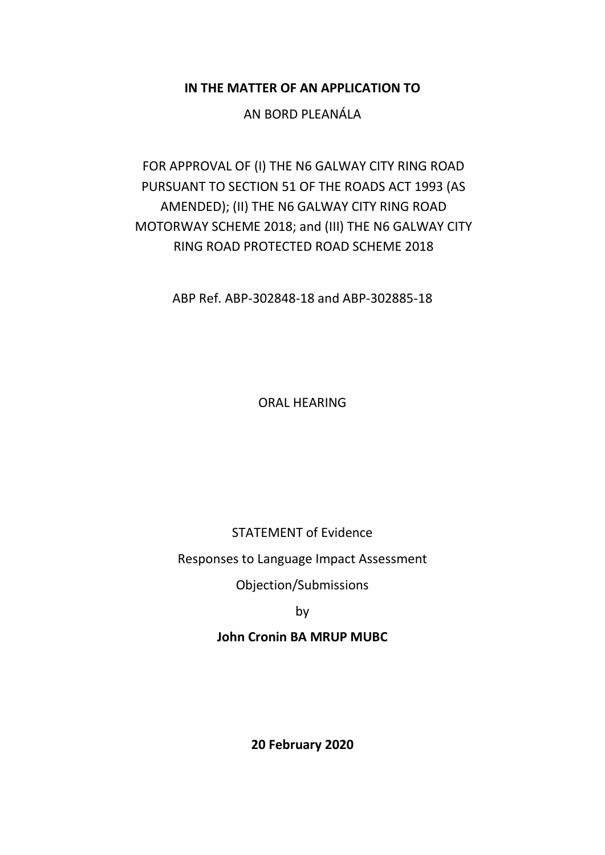**IN THE MATTER OF AN APPLICATION TO**

AN BORD PLEANÁLA

FOR APPROVAL OF (I) THE N6 GALWAY CITY RING ROAD PURSUANT TO SECTION 51 OF THE ROADS ACT 1993 (AS AMENDED); (II) THE N6 GALWAY CITY RING ROAD MOTORWAY SCHEME 2018; and (III) THE N6 GALWAY CITY RING ROAD PROTECTED ROAD SCHEME 2018

ABP Ref. ABP-302848-18 and ABP-302885-18

ORAL HEARING

STATEMENT of Evidence

Responses to Language Impact Assessment

Objection/Submissions

by

**John Cronin BA MRUP MUBC**

**20 February 2020**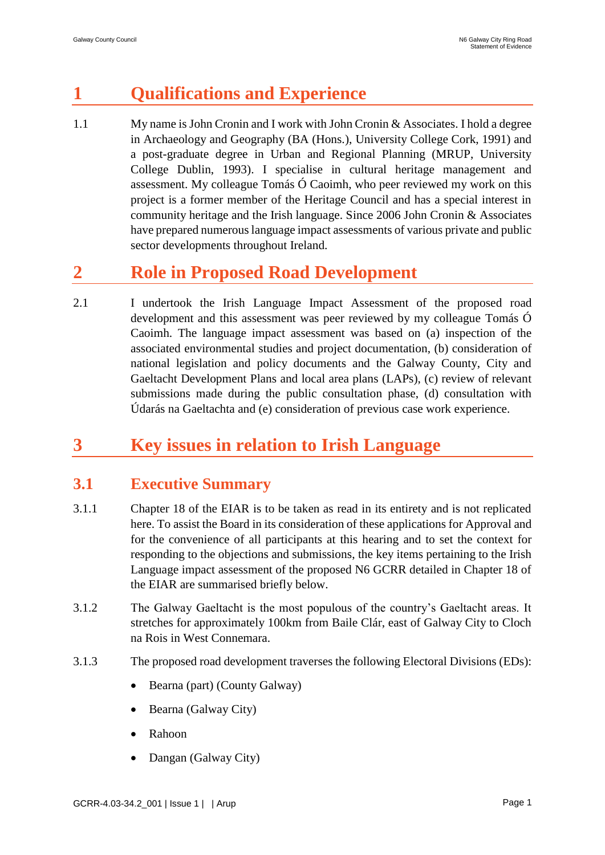# **1 Qualifications and Experience**

1.1 My name is John Cronin and I work with John Cronin & Associates. I hold a degree in Archaeology and Geography (BA (Hons.), University College Cork, 1991) and a post-graduate degree in Urban and Regional Planning (MRUP, University College Dublin, 1993). I specialise in cultural heritage management and assessment. My colleague Tomás Ó Caoimh, who peer reviewed my work on this project is a former member of the Heritage Council and has a special interest in community heritage and the Irish language. Since 2006 John Cronin & Associates have prepared numerous language impact assessments of various private and public sector developments throughout Ireland.

## **2 Role in Proposed Road Development**

2.1 I undertook the Irish Language Impact Assessment of the proposed road development and this assessment was peer reviewed by my colleague Tomás Ó Caoimh. The language impact assessment was based on (a) inspection of the associated environmental studies and project documentation, (b) consideration of national legislation and policy documents and the Galway County, City and Gaeltacht Development Plans and local area plans (LAPs), (c) review of relevant submissions made during the public consultation phase, (d) consultation with Údarás na Gaeltachta and (e) consideration of previous case work experience.

# **3 Key issues in relation to Irish Language**

### **3.1 Executive Summary**

- 3.1.1 Chapter 18 of the EIAR is to be taken as read in its entirety and is not replicated here. To assist the Board in its consideration of these applications for Approval and for the convenience of all participants at this hearing and to set the context for responding to the objections and submissions, the key items pertaining to the Irish Language impact assessment of the proposed N6 GCRR detailed in Chapter 18 of the EIAR are summarised briefly below.
- 3.1.2 The Galway Gaeltacht is the most populous of the country's Gaeltacht areas. It stretches for approximately 100km from Baile Clár, east of Galway City to Cloch na Rois in West Connemara.
- 3.1.3 The proposed road development traverses the following Electoral Divisions (EDs):
	- Bearna (part) (County Galway)
	- Bearna (Galway City)
	- Rahoon
	- Dangan (Galway City)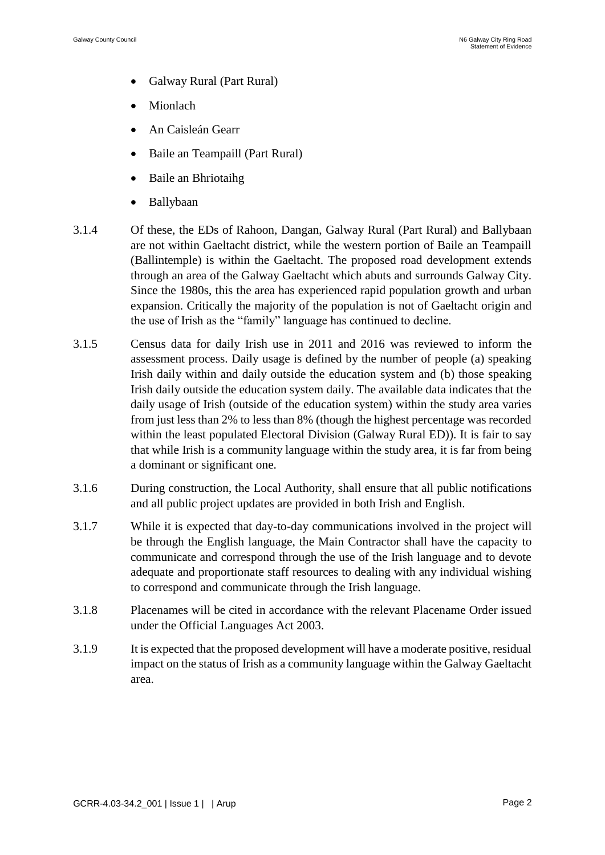- Galway Rural (Part Rural)
- **Mionlach**
- An Caisleán Gearr
- Baile an Teampaill (Part Rural)
- Baile an Bhriotaihg
- Ballybaan
- 3.1.4 Of these, the EDs of Rahoon, Dangan, Galway Rural (Part Rural) and Ballybaan are not within Gaeltacht district, while the western portion of Baile an Teampaill (Ballintemple) is within the Gaeltacht. The proposed road development extends through an area of the Galway Gaeltacht which abuts and surrounds Galway City. Since the 1980s, this the area has experienced rapid population growth and urban expansion. Critically the majority of the population is not of Gaeltacht origin and the use of Irish as the "family" language has continued to decline.
- 3.1.5 Census data for daily Irish use in 2011 and 2016 was reviewed to inform the assessment process. Daily usage is defined by the number of people (a) speaking Irish daily within and daily outside the education system and (b) those speaking Irish daily outside the education system daily. The available data indicates that the daily usage of Irish (outside of the education system) within the study area varies from just less than 2% to less than 8% (though the highest percentage was recorded within the least populated Electoral Division (Galway Rural ED)). It is fair to say that while Irish is a community language within the study area, it is far from being a dominant or significant one.
- 3.1.6 During construction, the Local Authority, shall ensure that all public notifications and all public project updates are provided in both Irish and English.
- 3.1.7 While it is expected that day-to-day communications involved in the project will be through the English language, the Main Contractor shall have the capacity to communicate and correspond through the use of the Irish language and to devote adequate and proportionate staff resources to dealing with any individual wishing to correspond and communicate through the Irish language.
- 3.1.8 Placenames will be cited in accordance with the relevant Placename Order issued under the Official Languages Act 2003.
- 3.1.9 It is expected that the proposed development will have a moderate positive, residual impact on the status of Irish as a community language within the Galway Gaeltacht area.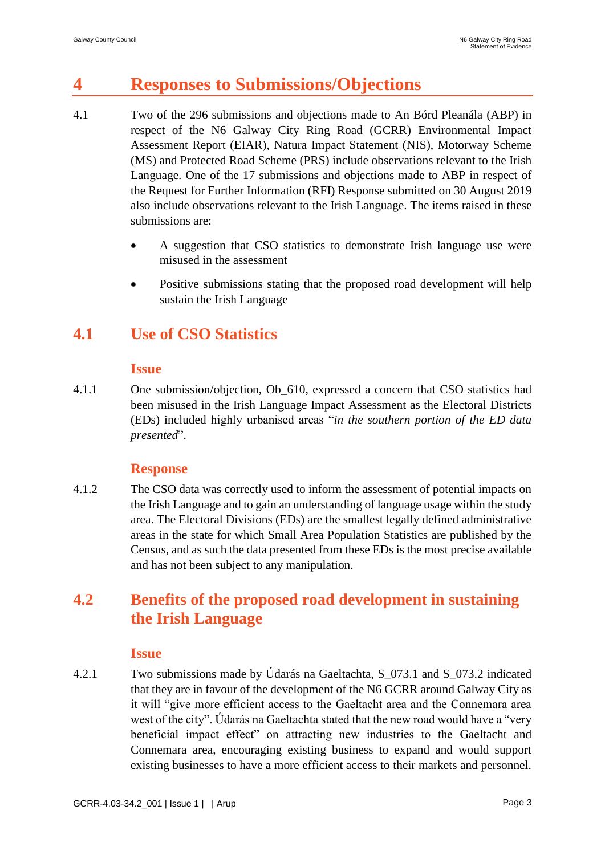## **4 Responses to Submissions/Objections**

- 4.1 Two of the 296 submissions and objections made to An Bórd Pleanála (ABP) in respect of the N6 Galway City Ring Road (GCRR) Environmental Impact Assessment Report (EIAR), Natura Impact Statement (NIS), Motorway Scheme (MS) and Protected Road Scheme (PRS) include observations relevant to the Irish Language. One of the 17 submissions and objections made to ABP in respect of the Request for Further Information (RFI) Response submitted on 30 August 2019 also include observations relevant to the Irish Language. The items raised in these submissions are:
	- A suggestion that CSO statistics to demonstrate Irish language use were misused in the assessment
	- Positive submissions stating that the proposed road development will help sustain the Irish Language

### **4.1 Use of CSO Statistics**

#### **Issue**

4.1.1 One submission/objection, Ob\_610, expressed a concern that CSO statistics had been misused in the Irish Language Impact Assessment as the Electoral Districts (EDs) included highly urbanised areas "*in the southern portion of the ED data presented*".

#### **Response**

4.1.2 The CSO data was correctly used to inform the assessment of potential impacts on the Irish Language and to gain an understanding of language usage within the study area. The Electoral Divisions (EDs) are the smallest legally defined administrative areas in the state for which Small Area Population Statistics are published by the Census, and as such the data presented from these EDs is the most precise available and has not been subject to any manipulation.

### **4.2 Benefits of the proposed road development in sustaining the Irish Language**

#### **Issue**

4.2.1 Two submissions made by Údarás na Gaeltachta, S\_073.1 and S\_073.2 indicated that they are in favour of the development of the N6 GCRR around Galway City as it will "give more efficient access to the Gaeltacht area and the Connemara area west of the city". Údarás na Gaeltachta stated that the new road would have a "very beneficial impact effect" on attracting new industries to the Gaeltacht and Connemara area, encouraging existing business to expand and would support existing businesses to have a more efficient access to their markets and personnel.